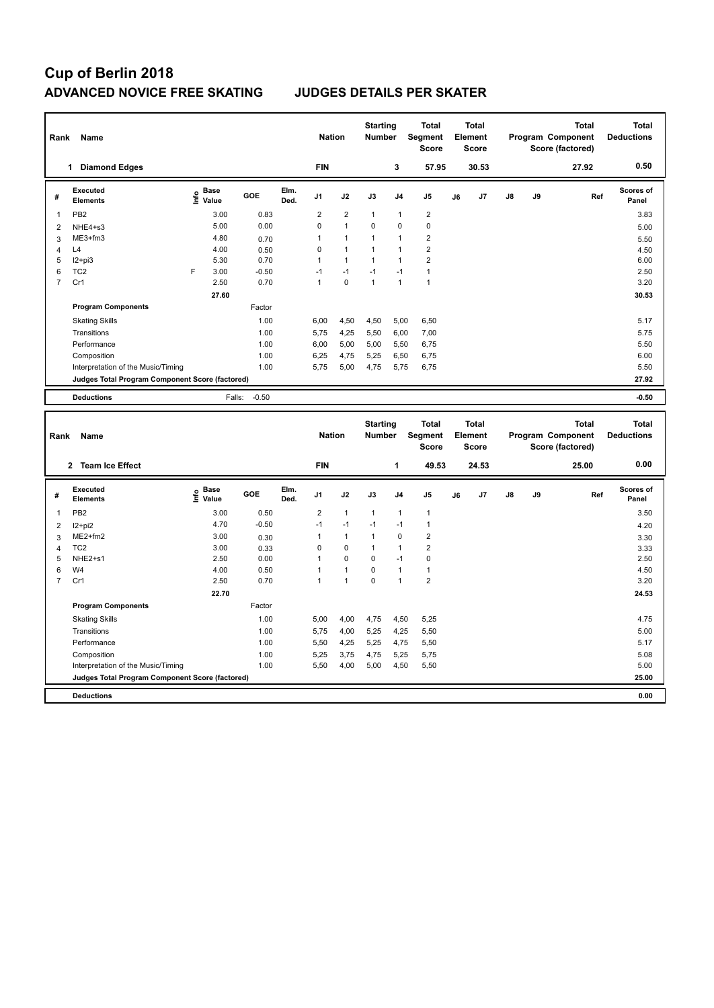# **Cup of Berlin 2018 ADVANCED NOVICE FREE SKATING JUDGES DETAILS PER SKATER**

| Rank | Name                                            |   |                                  |         |              | <b>Nation</b>  |                | <b>Starting</b><br><b>Number</b> |                | <b>Total</b><br>Segment<br><b>Score</b> |    | <b>Total</b><br>Element<br><b>Score</b> |               |    | <b>Total</b><br>Program Component<br>Score (factored) | <b>Total</b><br><b>Deductions</b> |
|------|-------------------------------------------------|---|----------------------------------|---------|--------------|----------------|----------------|----------------------------------|----------------|-----------------------------------------|----|-----------------------------------------|---------------|----|-------------------------------------------------------|-----------------------------------|
|      | <b>Diamond Edges</b><br>1                       |   |                                  |         |              | <b>FIN</b>     |                |                                  | 3              | 57.95                                   |    | 30.53                                   |               |    | 27.92                                                 | 0.50                              |
| #    | Executed<br><b>Elements</b>                     |   | <b>Base</b><br>e Base<br>⊆ Value | GOE     | Elm.<br>Ded. | J <sub>1</sub> | J2             | J3                               | J <sub>4</sub> | J <sub>5</sub>                          | J6 | J7                                      | $\mathsf{J}8$ | J9 | Ref                                                   | Scores of<br>Panel                |
| 1    | PB <sub>2</sub>                                 |   | 3.00                             | 0.83    |              | $\overline{2}$ | $\overline{2}$ | $\mathbf{1}$                     | $\mathbf{1}$   | $\overline{2}$                          |    |                                         |               |    |                                                       | 3.83                              |
| 2    | $NHE4 + s3$                                     |   | 5.00                             | 0.00    |              | 0              | $\mathbf{1}$   | $\mathbf 0$                      | $\mathbf 0$    | $\mathbf 0$                             |    |                                         |               |    |                                                       | 5.00                              |
| 3    | ME3+fm3                                         |   | 4.80                             | 0.70    |              | 1              | $\mathbf{1}$   | $\mathbf{1}$                     | $\mathbf{1}$   | $\overline{2}$                          |    |                                         |               |    |                                                       | 5.50                              |
| 4    | L4                                              |   | 4.00                             | 0.50    |              | $\Omega$       | $\mathbf{1}$   | $\mathbf{1}$                     | $\mathbf{1}$   | $\overline{2}$                          |    |                                         |               |    |                                                       | 4.50                              |
| 5    | $12 + pi3$                                      |   | 5.30                             | 0.70    |              | 1              | $\mathbf{1}$   | $\mathbf{1}$                     | $\overline{1}$ | $\overline{2}$                          |    |                                         |               |    |                                                       | 6.00                              |
| 6    | TC <sub>2</sub>                                 | F | 3.00                             | $-0.50$ |              | $-1$           | $-1$           | $-1$                             | $-1$           | $\mathbf{1}$                            |    |                                         |               |    |                                                       | 2.50                              |
| 7    | Cr1                                             |   | 2.50                             | 0.70    |              | 1              | $\mathbf 0$    | $\mathbf{1}$                     | $\overline{1}$ | $\overline{1}$                          |    |                                         |               |    |                                                       | 3.20                              |
|      |                                                 |   | 27.60                            |         |              |                |                |                                  |                |                                         |    |                                         |               |    |                                                       | 30.53                             |
|      | <b>Program Components</b>                       |   |                                  | Factor  |              |                |                |                                  |                |                                         |    |                                         |               |    |                                                       |                                   |
|      | <b>Skating Skills</b>                           |   |                                  | 1.00    |              | 6,00           | 4,50           | 4,50                             | 5,00           | 6,50                                    |    |                                         |               |    |                                                       | 5.17                              |
|      | Transitions                                     |   |                                  | 1.00    |              | 5,75           | 4,25           | 5,50                             | 6,00           | 7,00                                    |    |                                         |               |    |                                                       | 5.75                              |
|      | Performance                                     |   |                                  | 1.00    |              | 6,00           | 5,00           | 5,00                             | 5,50           | 6,75                                    |    |                                         |               |    |                                                       | 5.50                              |
|      | Composition                                     |   |                                  | 1.00    |              | 6,25           | 4,75           | 5,25                             | 6,50           | 6,75                                    |    |                                         |               |    |                                                       | 6.00                              |
|      | Interpretation of the Music/Timing              |   |                                  | 1.00    |              | 5,75           | 5,00           | 4,75                             | 5.75           | 6,75                                    |    |                                         |               |    |                                                       | 5.50                              |
|      | Judges Total Program Component Score (factored) |   |                                  |         |              |                |                |                                  |                |                                         |    |                                         |               |    |                                                       | 27.92                             |
|      | <b>Deductions</b>                               |   | Falls:                           | $-0.50$ |              |                |                |                                  |                |                                         |    |                                         |               |    |                                                       | $-0.50$                           |
|      |                                                 |   |                                  |         |              |                |                |                                  |                |                                         |    |                                         |               |    |                                                       |                                   |
|      |                                                 |   |                                  |         |              |                |                | Starting                         |                | Total                                   |    | Total                                   |               |    | Total                                                 | Total                             |

| Rank           | Name                                            |                                             |         |              | <b>Nation</b>  |                | <b>Starting</b><br><b>Number</b> |                | Total<br>Segment<br>Score |    | Total<br>Element<br><b>Score</b> |    |    | <b>Total</b><br>Program Component<br>Score (factored) | Total<br><b>Deductions</b> |
|----------------|-------------------------------------------------|---------------------------------------------|---------|--------------|----------------|----------------|----------------------------------|----------------|---------------------------|----|----------------------------------|----|----|-------------------------------------------------------|----------------------------|
|                | <b>Team Ice Effect</b><br>$\mathbf{2}$          |                                             |         |              | <b>FIN</b>     |                |                                  | 1              | 49.53                     |    | 24.53                            |    |    | 25.00                                                 | 0.00                       |
| #              | Executed<br><b>Elements</b>                     | <b>Base</b><br>e <sup>Base</sup><br>⊆ Value | GOE     | Elm.<br>Ded. | J <sub>1</sub> | J2             | J3                               | J <sub>4</sub> | J <sub>5</sub>            | J6 | J7                               | J8 | J9 | Ref                                                   | <b>Scores of</b><br>Panel  |
| 1              | PB <sub>2</sub>                                 | 3.00                                        | 0.50    |              | 2              | $\overline{1}$ | $\mathbf{1}$                     | $\overline{1}$ | $\mathbf{1}$              |    |                                  |    |    |                                                       | 3.50                       |
| 2              | $12+pi2$                                        | 4.70                                        | $-0.50$ |              | $-1$           | $-1$           | $-1$                             | $-1$           | $\mathbf{1}$              |    |                                  |    |    |                                                       | 4.20                       |
| 3              | $ME2+fm2$                                       | 3.00                                        | 0.30    |              |                | $\mathbf{1}$   | $\overline{1}$                   | $\mathbf 0$    | $\overline{2}$            |    |                                  |    |    |                                                       | 3.30                       |
| 4              | TC <sub>2</sub>                                 | 3.00                                        | 0.33    |              | 0              | $\mathbf 0$    | $\overline{1}$                   | $\overline{1}$ | $\overline{2}$            |    |                                  |    |    |                                                       | 3.33                       |
| 5              | NHE2+s1                                         | 2.50                                        | 0.00    |              |                | $\mathbf 0$    | 0                                | $-1$           | 0                         |    |                                  |    |    |                                                       | 2.50                       |
| 6              | W4                                              | 4.00                                        | 0.50    |              |                | $\mathbf{1}$   | 0                                | $\overline{1}$ | $\mathbf{1}$              |    |                                  |    |    |                                                       | 4.50                       |
| $\overline{7}$ | Cr1                                             | 2.50                                        | 0.70    |              | 1              | $\overline{1}$ | $\mathbf 0$                      | $\overline{1}$ | $\overline{2}$            |    |                                  |    |    |                                                       | 3.20                       |
|                |                                                 | 22.70                                       |         |              |                |                |                                  |                |                           |    |                                  |    |    |                                                       | 24.53                      |
|                | <b>Program Components</b>                       |                                             | Factor  |              |                |                |                                  |                |                           |    |                                  |    |    |                                                       |                            |
|                | <b>Skating Skills</b>                           |                                             | 1.00    |              | 5,00           | 4,00           | 4,75                             | 4,50           | 5,25                      |    |                                  |    |    |                                                       | 4.75                       |
|                | Transitions                                     |                                             | 1.00    |              | 5,75           | 4,00           | 5,25                             | 4,25           | 5,50                      |    |                                  |    |    |                                                       | 5.00                       |
|                | Performance                                     |                                             | 1.00    |              | 5,50           | 4,25           | 5,25                             | 4,75           | 5,50                      |    |                                  |    |    |                                                       | 5.17                       |
|                | Composition                                     |                                             | 1.00    |              | 5,25           | 3,75           | 4,75                             | 5,25           | 5,75                      |    |                                  |    |    |                                                       | 5.08                       |
|                | Interpretation of the Music/Timing              |                                             | 1.00    |              | 5,50           | 4,00           | 5,00                             | 4,50           | 5,50                      |    |                                  |    |    |                                                       | 5.00                       |
|                | Judges Total Program Component Score (factored) |                                             |         |              |                |                |                                  |                |                           |    |                                  |    |    |                                                       | 25.00                      |
|                | <b>Deductions</b>                               |                                             |         |              |                |                |                                  |                |                           |    |                                  |    |    |                                                       | 0.00                       |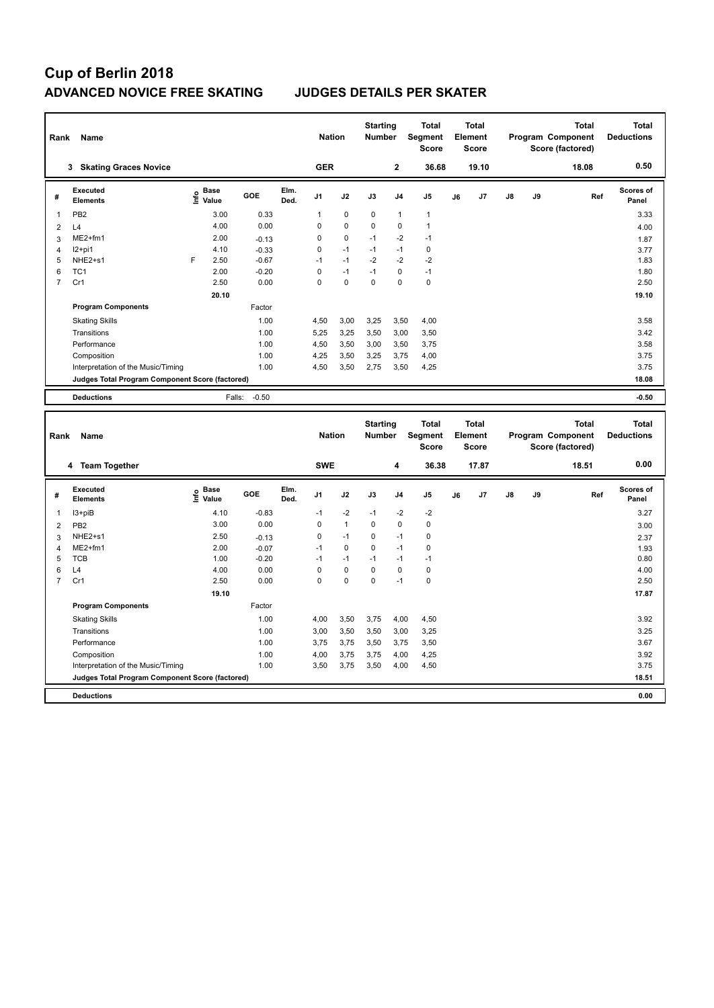# **Cup of Berlin 2018 ADVANCED NOVICE FREE SKATING JUDGES DETAILS PER SKATER**

| Rank<br>Name |                                                 |      |                      |         |              | <b>Nation</b>  |             | <b>Starting</b><br><b>Number</b> |                | <b>Total</b><br>Segment<br><b>Score</b> | <b>Total</b><br><b>Element</b><br><b>Score</b> |       | <b>Total</b><br>Program Component<br>Score (factored) |    | <b>Total</b><br><b>Deductions</b> |                           |
|--------------|-------------------------------------------------|------|----------------------|---------|--------------|----------------|-------------|----------------------------------|----------------|-----------------------------------------|------------------------------------------------|-------|-------------------------------------------------------|----|-----------------------------------|---------------------------|
|              | <b>Skating Graces Novice</b><br>3               |      |                      |         |              | <b>GER</b>     |             |                                  | $\overline{2}$ | 36.68                                   |                                                | 19.10 |                                                       |    | 18.08                             | 0.50                      |
| #            | Executed<br><b>Elements</b>                     | lnfo | <b>Base</b><br>Value | GOE     | Elm.<br>Ded. | J <sub>1</sub> | J2          | J3                               | J <sub>4</sub> | J <sub>5</sub>                          | J6                                             | J7    | $\mathsf{J}8$                                         | J9 | Ref                               | <b>Scores of</b><br>Panel |
| 1            | PB <sub>2</sub>                                 |      | 3.00                 | 0.33    |              | 1              | $\mathbf 0$ | $\mathbf 0$                      | $\overline{1}$ | $\mathbf{1}$                            |                                                |       |                                                       |    |                                   | 3.33                      |
| 2            | L4                                              |      | 4.00                 | 0.00    |              | $\Omega$       | $\mathbf 0$ | $\Omega$                         | $\mathbf 0$    | $\mathbf{1}$                            |                                                |       |                                                       |    |                                   | 4.00                      |
| 3            | $ME2+fm1$                                       |      | 2.00                 | $-0.13$ |              | $\Omega$       | 0           | $-1$                             | $-2$           | $-1$                                    |                                                |       |                                                       |    |                                   | 1.87                      |
| 4            | $12+pi1$                                        |      | 4.10                 | $-0.33$ |              | $\Omega$       | $-1$        | $-1$                             | $-1$           | $\pmb{0}$                               |                                                |       |                                                       |    |                                   | 3.77                      |
| 5            | NHE <sub>2+s1</sub>                             | E    | 2.50                 | $-0.67$ |              | $-1$           | $-1$        | $-2$                             | $-2$           | $-2$                                    |                                                |       |                                                       |    |                                   | 1.83                      |
| 6            | TC <sub>1</sub>                                 |      | 2.00                 | $-0.20$ |              | 0              | $-1$        | $-1$                             | $\mathbf 0$    | $-1$                                    |                                                |       |                                                       |    |                                   | 1.80                      |
| 7            | Cr1                                             |      | 2.50                 | 0.00    |              | 0              | $\mathbf 0$ | $\mathbf 0$                      | $\mathbf 0$    | $\pmb{0}$                               |                                                |       |                                                       |    |                                   | 2.50                      |
|              |                                                 |      | 20.10                |         |              |                |             |                                  |                |                                         |                                                |       |                                                       |    |                                   | 19.10                     |
|              | <b>Program Components</b>                       |      |                      | Factor  |              |                |             |                                  |                |                                         |                                                |       |                                                       |    |                                   |                           |
|              | <b>Skating Skills</b>                           |      |                      | 1.00    |              | 4.50           | 3,00        | 3,25                             | 3,50           | 4,00                                    |                                                |       |                                                       |    |                                   | 3.58                      |
|              | Transitions                                     |      |                      | 1.00    |              | 5.25           | 3,25        | 3,50                             | 3,00           | 3,50                                    |                                                |       |                                                       |    |                                   | 3.42                      |
|              | Performance                                     |      |                      | 1.00    |              | 4,50           | 3,50        | 3,00                             | 3,50           | 3,75                                    |                                                |       |                                                       |    |                                   | 3.58                      |
|              | Composition                                     |      |                      | 1.00    |              | 4.25           | 3,50        | 3,25                             | 3.75           | 4,00                                    |                                                |       |                                                       |    |                                   | 3.75                      |
|              | Interpretation of the Music/Timing              |      |                      | 1.00    |              | 4.50           | 3,50        | 2.75                             | 3,50           | 4,25                                    |                                                |       |                                                       |    |                                   | 3.75                      |
|              | Judges Total Program Component Score (factored) |      |                      |         |              |                |             |                                  |                |                                         |                                                |       |                                                       |    |                                   | 18.08                     |
|              | <b>Deductions</b>                               |      | Falls:               | $-0.50$ |              |                |             |                                  |                |                                         |                                                |       |                                                       |    |                                   | $-0.50$                   |
|              |                                                 |      |                      |         |              |                |             |                                  |                |                                         |                                                |       |                                                       |    |                                   |                           |

| Rank           | Name                                            |                       |            |              | <b>Nation</b>  |              | <b>Starting</b><br><b>Number</b> |                | <b>Total</b><br>Segment<br><b>Score</b> |    | <b>Total</b><br>Element<br><b>Score</b> |               |    | <b>Total</b><br>Program Component<br>Score (factored) | <b>Total</b><br><b>Deductions</b> |
|----------------|-------------------------------------------------|-----------------------|------------|--------------|----------------|--------------|----------------------------------|----------------|-----------------------------------------|----|-----------------------------------------|---------------|----|-------------------------------------------------------|-----------------------------------|
|                | 4 Team Together                                 |                       |            |              | <b>SWE</b>     |              |                                  | 4              | 36.38                                   |    | 17.87                                   |               |    | 18.51                                                 | 0.00                              |
| #              | Executed<br><b>Elements</b>                     | Base<br>١nf٥<br>Value | <b>GOE</b> | Elm.<br>Ded. | J <sub>1</sub> | J2           | J3                               | J <sub>4</sub> | J <sub>5</sub>                          | J6 | J7                                      | $\mathsf{J}8$ | J9 | Ref                                                   | <b>Scores of</b><br>Panel         |
|                | I3+piB                                          | 4.10                  | $-0.83$    |              | $-1$           | $-2$         | $-1$                             | $-2$           | $-2$                                    |    |                                         |               |    |                                                       | 3.27                              |
| 2              | PB <sub>2</sub>                                 | 3.00                  | 0.00       |              | 0              | $\mathbf{1}$ | $\Omega$                         | $\mathbf 0$    | 0                                       |    |                                         |               |    |                                                       | 3.00                              |
| 3              | NHE <sub>2+s1</sub>                             | 2.50                  | $-0.13$    |              | 0              | $-1$         | 0                                | $-1$           | 0                                       |    |                                         |               |    |                                                       | 2.37                              |
| 4              | $ME2+fm1$                                       | 2.00                  | $-0.07$    |              | $-1$           | 0            | $\Omega$                         | $-1$           | 0                                       |    |                                         |               |    |                                                       | 1.93                              |
| 5              | <b>TCB</b>                                      | 1.00                  | $-0.20$    |              | $-1$           | $-1$         | $-1$                             | $-1$           | $-1$                                    |    |                                         |               |    |                                                       | 0.80                              |
| 6              | L4                                              | 4.00                  | 0.00       |              | 0              | $\mathbf 0$  | $\Omega$                         | $\mathbf 0$    | 0                                       |    |                                         |               |    |                                                       | 4.00                              |
| $\overline{7}$ | Cr1                                             | 2.50                  | 0.00       |              | 0              | $\mathbf 0$  | 0                                | $-1$           | $\mathbf 0$                             |    |                                         |               |    |                                                       | 2.50                              |
|                |                                                 | 19.10                 |            |              |                |              |                                  |                |                                         |    |                                         |               |    |                                                       | 17.87                             |
|                | <b>Program Components</b>                       |                       | Factor     |              |                |              |                                  |                |                                         |    |                                         |               |    |                                                       |                                   |
|                | <b>Skating Skills</b>                           |                       | 1.00       |              | 4,00           | 3,50         | 3,75                             | 4,00           | 4,50                                    |    |                                         |               |    |                                                       | 3.92                              |
|                | Transitions                                     |                       | 1.00       |              | 3,00           | 3,50         | 3,50                             | 3,00           | 3,25                                    |    |                                         |               |    |                                                       | 3.25                              |
|                | Performance                                     |                       | 1.00       |              | 3,75           | 3,75         | 3,50                             | 3,75           | 3,50                                    |    |                                         |               |    |                                                       | 3.67                              |
|                | Composition                                     |                       | 1.00       |              | 4,00           | 3,75         | 3,75                             | 4,00           | 4,25                                    |    |                                         |               |    |                                                       | 3.92                              |
|                | Interpretation of the Music/Timing              |                       | 1.00       |              | 3,50           | 3,75         | 3,50                             | 4,00           | 4,50                                    |    |                                         |               |    |                                                       | 3.75                              |
|                | Judges Total Program Component Score (factored) |                       |            |              |                |              |                                  |                |                                         |    |                                         |               |    |                                                       | 18.51                             |
|                | <b>Deductions</b>                               |                       |            |              |                |              |                                  |                |                                         |    |                                         |               |    |                                                       | 0.00                              |